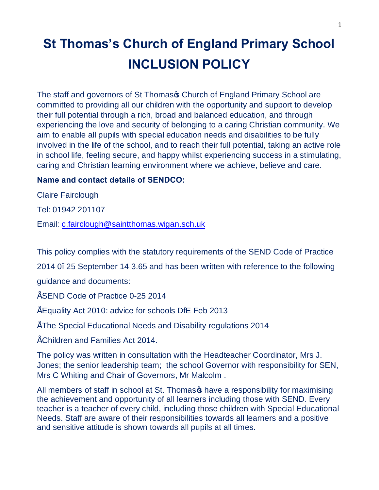# **St Thomas's Church of England Primary School INCLUSION POLICY**

The staff and governors of St Thomas & Church of England Primary School are committed to providing all our children with the opportunity and support to develop their full potential through a rich, broad and balanced education, and through experiencing the love and security of belonging to a caring Christian community. We aim to enable all pupils with special education needs and disabilities to be fully involved in the life of the school, and to reach their full potential, taking an active role in school life, feeling secure, and happy whilst experiencing success in a stimulating, caring and Christian learning environment where we achieve, believe and care.

## **Name and contact details of SENDCO:**

Claire Fairclough

Tel: 01942 201107

Email: c.fairclough@saintthomas.wigan.sch.uk

This policy complies with the statutory requirements of the SEND Code of Practice

2014 0. 25 September 14 3.65 and has been written with reference to the following

guidance and documents:

- SEND Code of Practice 0-25 2014
- Equality Act 2010: advice for schools DfE Feb 2013
- The Special Educational Needs and Disability regulations 2014

• Children and Families Act 2014.

The policy was written in consultation with the Headteacher Coordinator, Mrs J. Jones; the senior leadership team; the school Governor with responsibility for SEN, Mrs C Whiting and Chair of Governors, Mr Malcolm .

All members of staff in school at St. Thomas thave a responsibility for maximising the achievement and opportunity of all learners including those with SEND. Every teacher is a teacher of every child, including those children with Special Educational Needs. Staff are aware of their responsibilities towards all learners and a positive and sensitive attitude is shown towards all pupils at all times.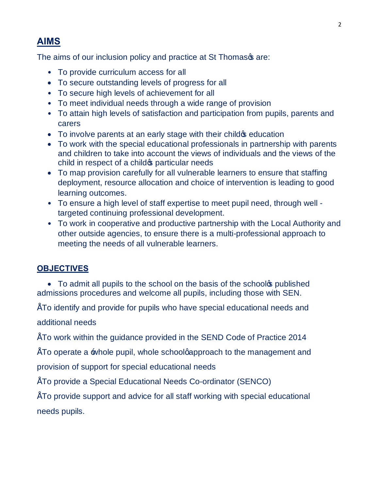# **AIMS**

The aims of our inclusion policy and practice at St Thomasos are:

- To provide curriculum access for all
- · To secure outstanding levels of progress for all
- To secure high levels of achievement for all
- To meet individual needs through a wide range of provision
- To attain high levels of satisfaction and participation from pupils, parents and carers
- To involve parents at an early stage with their child **s** education
- · To work with the special educational professionals in partnership with parents and children to take into account the views of individuals and the views of the child in respect of a child **s** particular needs
- · To map provision carefully for all vulnerable learners to ensure that staffing deployment, resource allocation and choice of intervention is leading to good learning outcomes.
- To ensure a high level of staff expertise to meet pupil need, through well targeted continuing professional development.
- To work in cooperative and productive partnership with the Local Authority and other outside agencies, to ensure there is a multi-professional approach to meeting the needs of all vulnerable learners.

# **OBJECTIVES**

• To admit all pupils to the school on the basis of the school published admissions procedures and welcome all pupils, including those with SEN.

• To identify and provide for pupils who have special educational needs and

additional needs

• To work within the guidance provided in the SEND Code of Practice 2014

 $\tilde{\ }$  To operate a  $\equiv$  whole pupil, whole schoolgapproach to the management and

provision of support for special educational needs

• To provide a Special Educational Needs Co-ordinator (SENCO)

• To provide support and advice for all staff working with special educational needs pupils.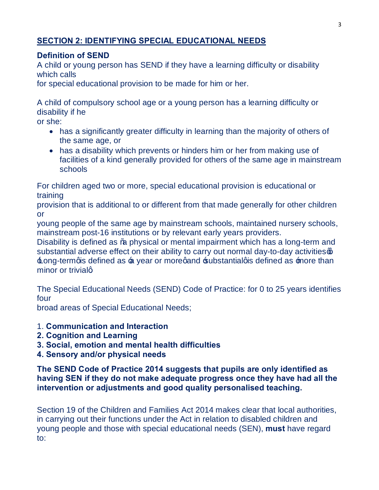# **SECTION 2: IDENTIFYING SPECIAL EDUCATIONAL NEEDS**

## **Definition of SEND**

A child or young person has SEND if they have a learning difficulty or disability which calls

for special educational provision to be made for him or her.

A child of compulsory school age or a young person has a learning difficulty or disability if he

or she:

- · has a significantly greater difficulty in learning than the majority of others of the same age, or
- has a disability which prevents or hinders him or her from making use of facilities of a kind generally provided for others of the same age in mainstream schools

For children aged two or more, special educational provision is educational or training

provision that is additional to or different from that made generally for other children or

young people of the same age by mainstream schools, maintained nursery schools, mainstream post-16 institutions or by relevant early years providers.

Disability is defined as % physical or mental impairment which has a long-term and substantial adverse effect on their ability to carry out normal day-to-day activities on  $\pm$ ong-termgis defined as  $\pm$  year or moregand  $\pm$ ubstantialgis defined as  $\pm$ nore than minor or trivialq

The Special Educational Needs (SEND) Code of Practice: for 0 to 25 years identifies four

broad areas of Special Educational Needs;

- 1. **Communication and Interaction**
- **2. Cognition and Learning**
- **3. Social, emotion and mental health difficulties**
- **4. Sensory and/or physical needs**

**The SEND Code of Practice 2014 suggests that pupils are only identified as having SEN if they do not make adequate progress once they have had all the intervention or adjustments and good quality personalised teaching.**

Section 19 of the Children and Families Act 2014 makes clear that local authorities, in carrying out their functions under the Act in relation to disabled children and young people and those with special educational needs (SEN), **must** have regard to: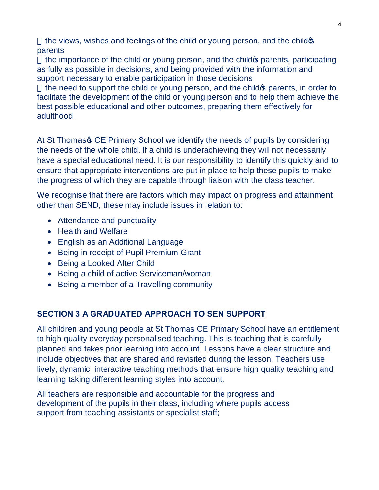the views, wishes and feelings of the child or young person, and the child of parents

the importance of the child or young person, and the child operator participating as fully as possible in decisions, and being provided with the information and support necessary to enable participation in those decisions

the need to support the child or young person, and the child opparents, in order to facilitate the development of the child or young person and to help them achieve the best possible educational and other outcomes, preparing them effectively for adulthood.

At St Thomas<sub>®</sub> CE Primary School we identify the needs of pupils by considering the needs of the whole child. If a child is underachieving they will not necessarily have a special educational need. It is our responsibility to identify this quickly and to ensure that appropriate interventions are put in place to help these pupils to make the progress of which they are capable through liaison with the class teacher.

We recognise that there are factors which may impact on progress and attainment other than SEND, these may include issues in relation to:

- Attendance and punctuality
- · Health and Welfare
- · English as an Additional Language
- · Being in receipt of Pupil Premium Grant
- Being a Looked After Child
- · Being a child of active Serviceman/woman
- · Being a member of a Travelling community

## **SECTION 3 A GRADUATED APPROACH TO SEN SUPPORT**

All children and young people at St Thomas CE Primary School have an entitlement to high quality everyday personalised teaching. This is teaching that is carefully planned and takes prior learning into account. Lessons have a clear structure and include objectives that are shared and revisited during the lesson. Teachers use lively, dynamic, interactive teaching methods that ensure high quality teaching and learning taking different learning styles into account.

All teachers are responsible and accountable for the progress and development of the pupils in their class, including where pupils access support from teaching assistants or specialist staff;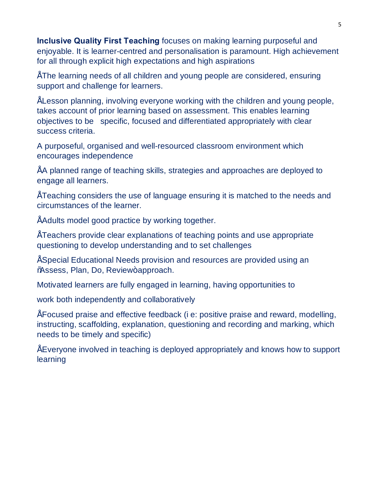**Inclusive Quality First Teaching** focuses on making learning purposeful and enjoyable. It is learner-centred and personalisation is paramount. High achievement for all through explicit high expectations and high aspirations

• The learning needs of all children and young people are considered, ensuring support and challenge for learners.

• Lesson planning, involving everyone working with the children and young people, takes account of prior learning based on assessment. This enables learning objectives to be specific, focused and differentiated appropriately with clear success criteria.

A purposeful, organised and well-resourced classroom environment which encourages independence

• A planned range of teaching skills, strategies and approaches are deployed to engage all learners.

• Teaching considers the use of language ensuring it is matched to the needs and circumstances of the learner.

• Adults model good practice by working together.

• Teachers provide clear explanations of teaching points and use appropriate questioning to develop understanding and to set challenges

• Special Educational Needs provision and resources are provided using an %Ssess, Plan, Do, Review+approach.

Motivated learners are fully engaged in learning, having opportunities to

work both independently and collaboratively

• Focused praise and effective feedback (i e: positive praise and reward, modelling, instructing, scaffolding, explanation, questioning and recording and marking, which needs to be timely and specific)

• Everyone involved in teaching is deployed appropriately and knows how to support learning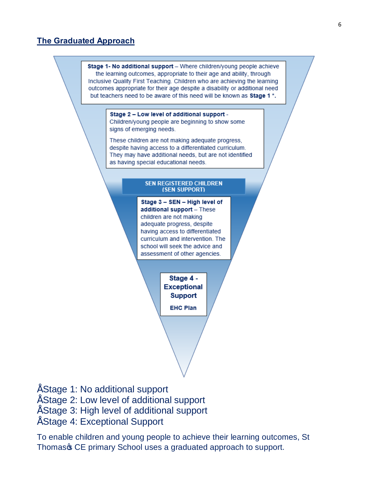## **The Graduated Approach**



- Stage 1: No additional support
- Stage 2: Low level of additional support
- Stage 3: High level of additional support
- Stage 4: Exceptional Support

To enable children and young people to achieve their learning outcomes, St Thomas & CE primary School uses a graduated approach to support.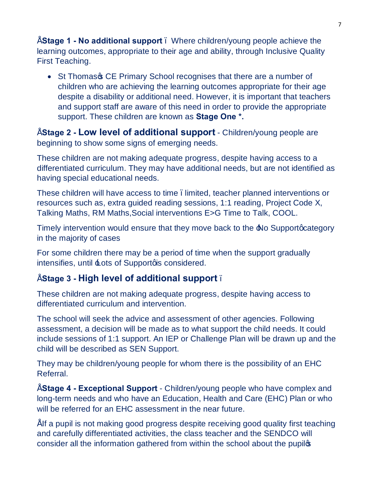• **Stage 1 - No additional support** – Where children/young people achieve the learning outcomes, appropriate to their age and ability, through Inclusive Quality First Teaching.

• St Thomas GCE Primary School recognises that there are a number of children who are achieving the learning outcomes appropriate for their age despite a disability or additional need. However, it is important that teachers and support staff are aware of this need in order to provide the appropriate support. These children are known as **Stage One \*.**

• **Stage 2 - Low level of additional support** - Children/young people are beginning to show some signs of emerging needs.

These children are not making adequate progress, despite having access to a differentiated curriculum. They may have additional needs, but are not identified as having special educational needs.

These children will have access to time . limited, teacher planned interventions or resources such as, extra guided reading sessions, 1:1 reading, Project Code X, Talking Maths, RM Maths,Social interventions E>G Time to Talk, COOL.

Timely intervention would ensure that they move back to the A No Support gcategory in the majority of cases

For some children there may be a period of time when the support gradually  $intensifies$ , until  $\pm$ ots of Supportgis considered.

# • **Stage 3 - High level of additional support** –

These children are not making adequate progress, despite having access to differentiated curriculum and intervention.

The school will seek the advice and assessment of other agencies. Following assessment, a decision will be made as to what support the child needs. It could include sessions of 1:1 support. An IEP or Challenge Plan will be drawn up and the child will be described as SEN Support.

They may be children/young people for whom there is the possibility of an EHC Referral.

• **Stage 4 - Exceptional Support** - Children/young people who have complex and long-term needs and who have an Education, Health and Care (EHC) Plan or who will be referred for an EHC assessment in the near future.

" If a pupil is not making good progress despite receiving good quality first teaching and carefully differentiated activities, the class teacher and the SENDCO will consider all the information gathered from within the school about the pupilos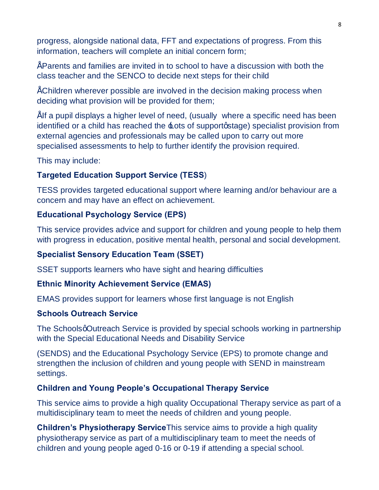progress, alongside national data, FFT and expectations of progress. From this information, teachers will complete an initial concern form;

• Parents and families are invited in to school to have a discussion with both the class teacher and the SENCO to decide next steps for their child

• Children wherever possible are involved in the decision making process when deciding what provision will be provided for them;

" If a pupil displays a higher level of need, (usually where a specific need has been identified or a child has reached the  $\pm$ ots of supportgstage) specialist provision from external agencies and professionals may be called upon to carry out more specialised assessments to help to further identify the provision required.

This may include:

## **Targeted Education Support Service (TESS**)

TESS provides targeted educational support where learning and/or behaviour are a concern and may have an effect on achievement.

## **Educational Psychology Service (EPS)**

This service provides advice and support for children and young people to help them with progress in education, positive mental health, personal and social development.

## **Specialist Sensory Education Team (SSET)**

SSET supports learners who have sight and hearing difficulties

## **Ethnic Minority Achievement Service (EMAS)**

EMAS provides support for learners whose first language is not English

#### **Schools Outreach Service**

The Schoolsg Outreach Service is provided by special schools working in partnership with the Special Educational Needs and Disability Service

(SENDS) and the Educational Psychology Service (EPS) to promote change and strengthen the inclusion of children and young people with SEND in mainstream settings.

#### **Children and Young People's Occupational Therapy Service**

This service aims to provide a high quality Occupational Therapy service as part of a multidisciplinary team to meet the needs of children and young people.

**Children's Physiotherapy Service**This service aims to provide a high quality physiotherapy service as part of a multidisciplinary team to meet the needs of children and young people aged 0-16 or 0-19 if attending a special school.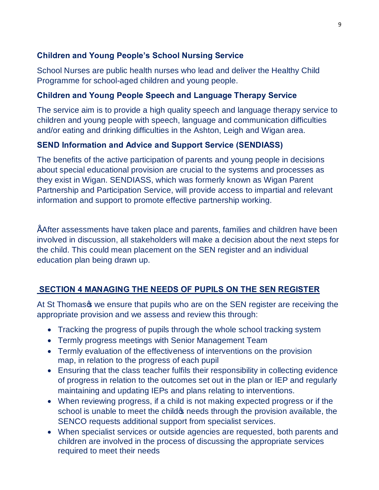# **Children and Young People's School Nursing Service**

School Nurses are public health nurses who lead and deliver the Healthy Child Programme for school-aged children and young people.

## **Children and Young People Speech and Language Therapy Service**

The service aim is to provide a high quality speech and language therapy service to children and young people with speech, language and communication difficulties and/or eating and drinking difficulties in the Ashton, Leigh and Wigan area.

## **SEND Information and Advice and Support Service (SENDIASS)**

The benefits of the active participation of parents and young people in decisions about special educational provision are crucial to the systems and processes as they exist in Wigan. SENDIASS, which was formerly known as Wigan Parent Partnership and Participation Service, will provide access to impartial and relevant information and support to promote effective partnership working.

• After assessments have taken place and parents, families and children have been involved in discussion, all stakeholders will make a decision about the next steps for the child. This could mean placement on the SEN register and an individual education plan being drawn up.

# **SECTION 4 MANAGING THE NEEDS OF PUPILS ON THE SEN REGISTER**

At St Thomas to we ensure that pupils who are on the SEN register are receiving the appropriate provision and we assess and review this through:

- Tracking the progress of pupils through the whole school tracking system
- · Termly progress meetings with Senior Management Team
- · Termly evaluation of the effectiveness of interventions on the provision map, in relation to the progress of each pupil
- · Ensuring that the class teacher fulfils their responsibility in collecting evidence of progress in relation to the outcomes set out in the plan or IEP and regularly maintaining and updating IEPs and plans relating to interventions.
- · When reviewing progress, if a child is not making expected progress or if the school is unable to meet the child op needs through the provision available, the SENCO requests additional support from specialist services.
- · When specialist services or outside agencies are requested, both parents and children are involved in the process of discussing the appropriate services required to meet their needs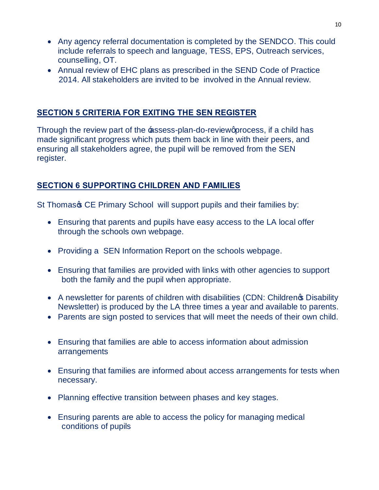- · Any agency referral documentation is completed by the SENDCO. This could include referrals to speech and language, TESS, EPS, Outreach services, counselling, OT.
- · Annual review of EHC plans as prescribed in the SEND Code of Practice 2014. All stakeholders are invited to be involved in the Annual review.

## **SECTION 5 CRITERIA FOR EXITING THE SEN REGISTER**

Through the review part of the **-e**ssess-plan-do-review aprocess, if a child has made significant progress which puts them back in line with their peers, and ensuring all stakeholders agree, the pupil will be removed from the SEN register.

## **SECTION 6 SUPPORTING CHILDREN AND FAMILIES**

St Thomas & CE Primary School will support pupils and their families by:

- · Ensuring that parents and pupils have easy access to the LA local offer through the schools own webpage.
- Providing a SEN Information Report on the schools webpage.
- · Ensuring that families are provided with links with other agencies to support both the family and the pupil when appropriate.
- A newsletter for parents of children with disabilities (CDN: Childreng Disability Newsletter) is produced by the LA three times a year and available to parents.
- · Parents are sign posted to services that will meet the needs of their own child.
- · Ensuring that families are able to access information about admission arrangements
- · Ensuring that families are informed about access arrangements for tests when necessary.
- Planning effective transition between phases and key stages.
- Ensuring parents are able to access the policy for managing medical conditions of pupils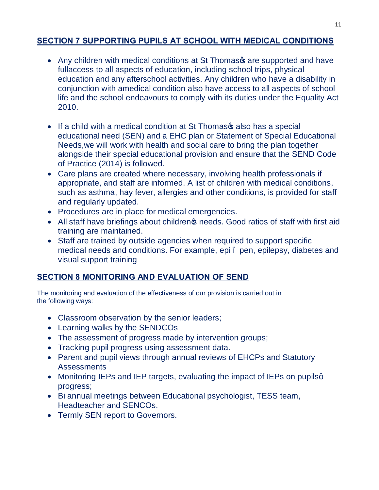# **SECTION 7 SUPPORTING PUPILS AT SCHOOL WITH MEDICAL CONDITIONS**

- Any children with medical conditions at St Thomas are supported and have fullaccess to all aspects of education, including school trips, physical education and any afterschool activities. Any children who have a disability in conjunction with amedical condition also have access to all aspects of school life and the school endeavours to comply with its duties under the Equality Act 2010.
- If a child with a medical condition at St Thomas as also has a special educational need (SEN) and a EHC plan or Statement of Special Educational Needs,we will work with health and social care to bring the plan together alongside their special educational provision and ensure that the SEND Code of Practice (2014) is followed.
- · Care plans are created where necessary, involving health professionals if appropriate, and staff are informed. A list of children with medical conditions, such as asthma, hay fever, allergies and other conditions, is provided for staff and regularly updated.
- · Procedures are in place for medical emergencies.
- All staff have briefings about children *i*s needs. Good ratios of staff with first aid training are maintained.
- Staff are trained by outside agencies when required to support specific medical needs and conditions. For example, epi – pen, epilepsy, diabetes and visual support training

## **SECTION 8 MONITORING AND EVALUATION OF SEND**

The monitoring and evaluation of the effectiveness of our provision is carried out in the following ways:

- Classroom observation by the senior leaders;
- · Learning walks by the SENDCOs
- · The assessment of progress made by intervention groups;
- · Tracking pupil progress using assessment data.
- · Parent and pupil views through annual reviews of EHCPs and Statutory Assessments
- Monitoring IEPs and IEP targets, evaluating the impact of IEPs on pupilsq progress;
- · Bi annual meetings between Educational psychologist, TESS team, Headteacher and SENCOs.
- · Termly SEN report to Governors.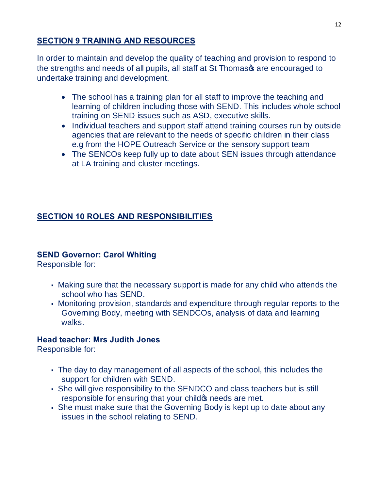# **SECTION 9 TRAINING AND RESOURCES**

In order to maintain and develop the quality of teaching and provision to respond to the strengths and needs of all pupils, all staff at St Thomas of are encouraged to undertake training and development.

- · The school has a training plan for all staff to improve the teaching and learning of children including those with SEND. This includes whole school training on SEND issues such as ASD, executive skills.
- Individual teachers and support staff attend training courses run by outside agencies that are relevant to the needs of specific children in their class e.g from the HOPE Outreach Service or the sensory support team
- The SENCOs keep fully up to date about SEN issues through attendance at LA training and cluster meetings.

# **SECTION 10 ROLES AND RESPONSIBILITIES**

## **SEND Governor: Carol Whiting**

Responsible for:

- Making sure that the necessary support is made for any child who attends the school who has SEND.
- Monitoring provision, standards and expenditure through regular reports to the Governing Body, meeting with SENDCOs, analysis of data and learning walks.

## **Head teacher: Mrs Judith Jones**

Responsible for:

- The day to day management of all aspects of the school, this includes the support for children with SEND.
- She will give responsibility to the SENDCO and class teachers but is still responsible for ensuring that your child op needs are met.
- She must make sure that the Governing Body is kept up to date about any issues in the school relating to SEND.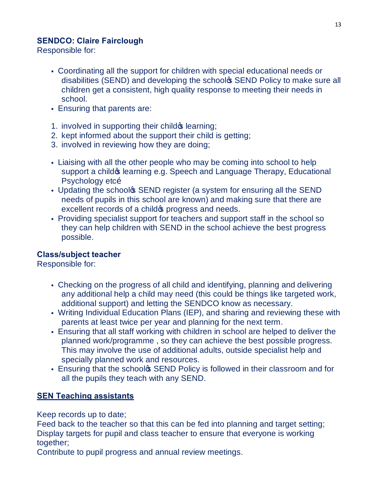## **SENDCO: Claire Fairclough**

Responsible for:

- Coordinating all the support for children with special educational needs or disabilities (SEND) and developing the schoolo SEND Policy to make sure all children get a consistent, high quality response to meeting their needs in school.
- **Ensuring that parents are:**
- 1. involved in supporting their child **s** learning;
- 2. kept informed about the support their child is getting;
- 3. involved in reviewing how they are doing;
- Liaising with all the other people who may be coming into school to help support a child & learning e.g. Speech and Language Therapy, Educational Psychology etcõ
- Updating the school **SEND** register (a system for ensuring all the SEND needs of pupils in this school are known) and making sure that there are excellent records of a child oprogress and needs.
- ß Providing specialist support for teachers and support staff in the school so they can help children with SEND in the school achieve the best progress possible.

## **Class/subject teacher**

Responsible for:

- Checking on the progress of all child and identifying, planning and delivering any additional help a child may need (this could be things like targeted work, additional support) and letting the SENDCO know as necessary.
- Writing Individual Education Plans (IEP), and sharing and reviewing these with parents at least twice per year and planning for the next term.
- ß Ensuring that all staff working with children in school are helped to deliver the planned work/programme , so they can achieve the best possible progress. This may involve the use of additional adults, outside specialist help and specially planned work and resources.
- **Ensuring that the school SEND Policy is followed in their classroom and for** all the pupils they teach with any SEND.

## **SEN Teaching assistants**

Keep records up to date;

Feed back to the teacher so that this can be fed into planning and target setting; Display targets for pupil and class teacher to ensure that everyone is working together:

Contribute to pupil progress and annual review meetings.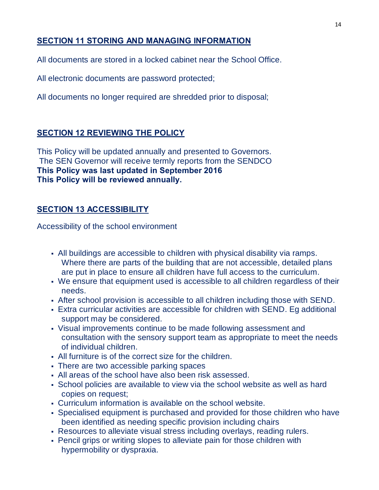# **SECTION 11 STORING AND MANAGING INFORMATION**

All documents are stored in a locked cabinet near the School Office.

All electronic documents are password protected;

All documents no longer required are shredded prior to disposal;

## **SECTION 12 REVIEWING THE POLICY**

This Policy will be updated annually and presented to Governors. The SEN Governor will receive termly reports from the SENDCO **This Policy was last updated in September 2016 This Policy will be reviewed annually.**

## **SECTION 13 ACCESSIBILITY**

Accessibility of the school environment

- ß All buildings are accessible to children with physical disability via ramps. Where there are parts of the building that are not accessible, detailed plans are put in place to ensure all children have full access to the curriculum.
- We ensure that equipment used is accessible to all children regardless of their needs.
- ß After school provision is accessible to all children including those with SEND.
- ß Extra curricular activities are accessible for children with SEND. Eg additional support may be considered.
- ß Visual improvements continue to be made following assessment and consultation with the sensory support team as appropriate to meet the needs of individual children.
- ß All furniture is of the correct size for the children.
- There are two accessible parking spaces
- ß All areas of the school have also been risk assessed.
- ß School policies are available to view via the school website as well as hard copies on request;
- ß Curriculum information is available on the school website.
- Specialised equipment is purchased and provided for those children who have been identified as needing specific provision including chairs
- Resources to alleviate visual stress including overlays, reading rulers.
- Pencil grips or writing slopes to alleviate pain for those children with hypermobility or dyspraxia.